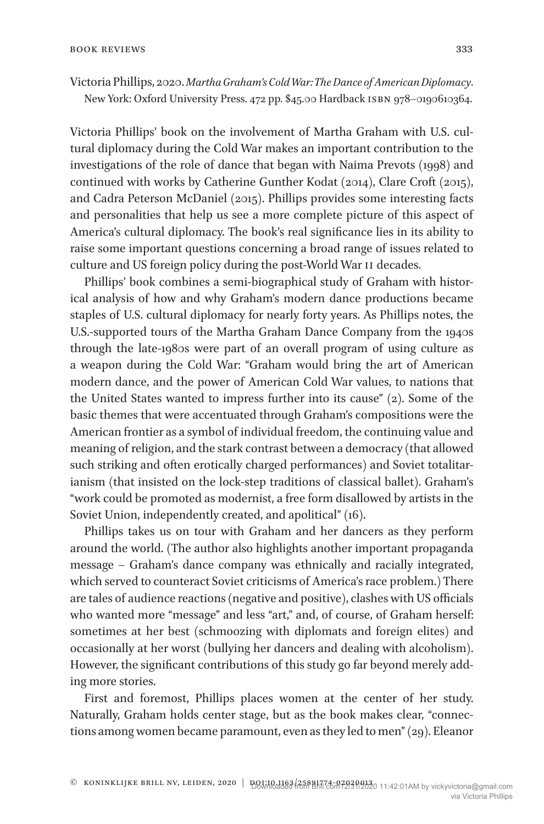Victoria Phillips, 2020.*Martha Graham's Cold War: The Dance of American Diplomacy*. New York: Oxford University Press. 472 pp. \$45.00 Hardback isbn 978–0190610364.

Victoria Phillips' book on the involvement of Martha Graham with U.S. cultural diplomacy during the Cold War makes an important contribution to the investigations of the role of dance that began with Naima Prevots (1998) and continued with works by Catherine Gunther Kodat (2014), Clare Croft (2015), and Cadra Peterson McDaniel (2015). Phillips provides some interesting facts and personalities that help us see a more complete picture of this aspect of America's cultural diplomacy. The book's real significance lies in its ability to raise some important questions concerning a broad range of issues related to culture and US foreign policy during the post-World War II decades.

Phillips' book combines a semi-biographical study of Graham with historical analysis of how and why Graham's modern dance productions became staples of U.S. cultural diplomacy for nearly forty years. As Phillips notes, the U.S.-supported tours of the Martha Graham Dance Company from the 1940s through the late-1980s were part of an overall program of using culture as a weapon during the Cold War: "Graham would bring the art of American modern dance, and the power of American Cold War values, to nations that the United States wanted to impress further into its cause" (2). Some of the basic themes that were accentuated through Graham's compositions were the American frontier as a symbol of individual freedom, the continuing value and meaning of religion, and the stark contrast between a democracy (that allowed such striking and often erotically charged performances) and Soviet totalitarianism (that insisted on the lock-step traditions of classical ballet). Graham's "work could be promoted as modernist, a free form disallowed by artists in the Soviet Union, independently created, and apolitical" (16).

Phillips takes us on tour with Graham and her dancers as they perform around the world. (The author also highlights another important propaganda message – Graham's dance company was ethnically and racially integrated, which served to counteract Soviet criticisms of America's race problem.) There are tales of audience reactions (negative and positive), clashes with US officials who wanted more "message" and less "art," and, of course, of Graham herself: sometimes at her best (schmoozing with diplomats and foreign elites) and occasionally at her worst (bullying her dancers and dealing with alcoholism). However, the significant contributions of this study go far beyond merely adding more stories.

First and foremost, Phillips places women at the center of her study. Naturally, Graham holds center stage, but as the book makes clear, "connections among women became paramount, even as they led to men" (29). Eleanor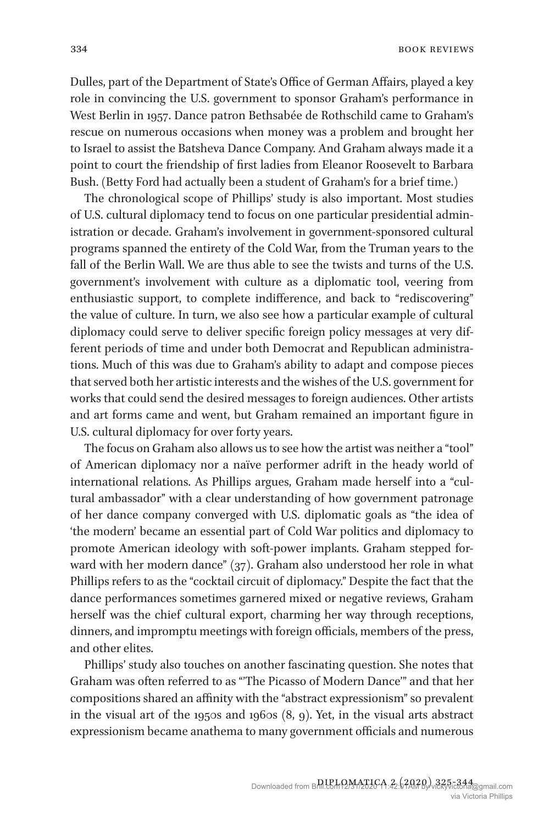334 book reviews and the set of the set of the set of the set of the set of the set of the set of the set of the set of the set of the set of the set of the set of the set of the set of the set of the set of the set of the

Dulles, part of the Department of State's Office of German Affairs, played a key role in convincing the U.S. government to sponsor Graham's performance in West Berlin in 1957. Dance patron Bethsabée de Rothschild came to Graham's rescue on numerous occasions when money was a problem and brought her to Israel to assist the Batsheva Dance Company. And Graham always made it a point to court the friendship of first ladies from Eleanor Roosevelt to Barbara Bush. (Betty Ford had actually been a student of Graham's for a brief time.)

The chronological scope of Phillips' study is also important. Most studies of U.S. cultural diplomacy tend to focus on one particular presidential administration or decade. Graham's involvement in government-sponsored cultural programs spanned the entirety of the Cold War, from the Truman years to the fall of the Berlin Wall. We are thus able to see the twists and turns of the U.S. government's involvement with culture as a diplomatic tool, veering from enthusiastic support, to complete indifference, and back to "rediscovering" the value of culture. In turn, we also see how a particular example of cultural diplomacy could serve to deliver specific foreign policy messages at very different periods of time and under both Democrat and Republican administrations. Much of this was due to Graham's ability to adapt and compose pieces that served both her artistic interests and the wishes of the U.S. government for works that could send the desired messages to foreign audiences. Other artists and art forms came and went, but Graham remained an important figure in U.S. cultural diplomacy for over forty years.

The focus on Graham also allows us to see how the artist was neither a "tool" of American diplomacy nor a naïve performer adrift in the heady world of international relations. As Phillips argues, Graham made herself into a "cultural ambassador" with a clear understanding of how government patronage of her dance company converged with U.S. diplomatic goals as "the idea of 'the modern' became an essential part of Cold War politics and diplomacy to promote American ideology with soft-power implants. Graham stepped forward with her modern dance" (37). Graham also understood her role in what Phillips refers to as the "cocktail circuit of diplomacy." Despite the fact that the dance performances sometimes garnered mixed or negative reviews, Graham herself was the chief cultural export, charming her way through receptions, dinners, and impromptu meetings with foreign officials, members of the press, and other elites.

Phillips' study also touches on another fascinating question. She notes that Graham was often referred to as "'The Picasso of Modern Dance'" and that her compositions shared an affinity with the "abstract expressionism" so prevalent in the visual art of the 1950s and 1960s  $(8, 9)$ . Yet, in the visual arts abstract expressionism became anathema to many government officials and numerous